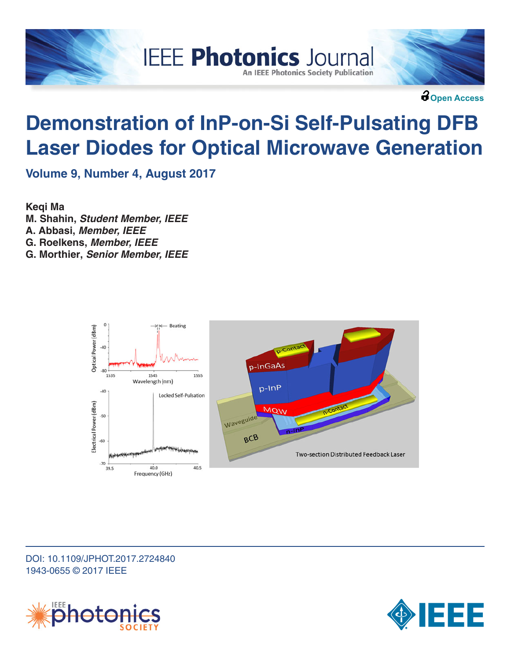



**Open Access**

# **Demonstration of InP-on-Si Self-Pulsating DFB Laser Diodes for Optical Microwave Generation**

**IEEE Photonics Journal** 

**An IEEE Photonics Society Publication** 

**Volume 9, Number 4, August 2017**

**Keqi Ma M. Shahin,** *Student Member, IEEE* **A. Abbasi,** *Member, IEEE* **G. Roelkens,** *Member, IEEE* **G. Morthier,** *Senior Member, IEEE*



### DOI: 10.1109/JPHOT.2017.2724840 1943-0655 © 2017 IEEE



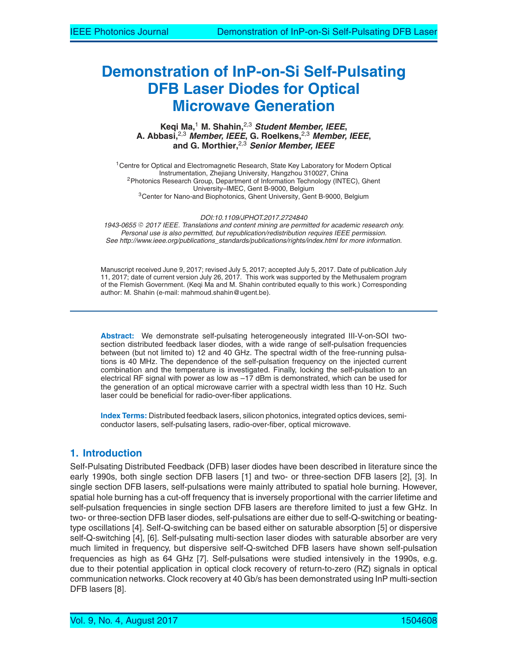## **Demonstration of InP-on-Si Self-Pulsating DFB Laser Diodes for Optical Microwave Generation**

**Keqi Ma,**<sup>1</sup> **M. Shahin,**2,3 *Student Member, IEEE***, A. Abbasi,**2,3 *Member, IEEE***, G. Roelkens,**2,3 *Member, IEEE***, and G. Morthier,**2,3 *Senior Member, IEEE*

<sup>1</sup> Centre for Optical and Electromagnetic Research, State Key Laboratory for Modern Optical Instrumentation, Zhejiang University, Hangzhou 310027, China 2Photonics Research Group, Department of Information Technology (INTEC), Ghent University–IMEC, Gent B-9000, Belgium 3Center for Nano-and Biophotonics, Ghent University, Gent B-9000, Belgium

*DOI:10.1109/JPHOT.2017.2724840*

1943-0655 © 2017 IEEE. Translations and content mining are permitted for academic research only. *Personal use is also permitted, but republication/redistribution requires IEEE permission. See http://www.ieee.org/publications\_standards/publications/rights/index.html for more information.*

Manuscript received June 9, 2017; revised July 5, 2017; accepted July 5, 2017. Date of publication July 11, 2017; date of current version July 26, 2017. This work was supported by the Methusalem program of the Flemish Government. (Keqi Ma and M. Shahin contributed equally to this work.) Corresponding author: M. Shahin (e-mail: mahmoud.shahin@ugent.be).

**Abstract:** We demonstrate self-pulsating heterogeneously integrated III-V-on-SOI twosection distributed feedback laser diodes, with a wide range of self-pulsation frequencies between (but not limited to) 12 and 40 GHz. The spectral width of the free-running pulsations is 40 MHz. The dependence of the self-pulsation frequency on the injected current combination and the temperature is investigated. Finally, locking the self-pulsation to an electrical RF signal with power as low as –17 dBm is demonstrated, which can be used for the generation of an optical microwave carrier with a spectral width less than 10 Hz. Such laser could be beneficial for radio-over-fiber applications.

**Index Terms:** Distributed feedback lasers, silicon photonics, integrated optics devices, semiconductor lasers, self-pulsating lasers, radio-over-fiber, optical microwave.

#### **1. Introduction**

Self-Pulsating Distributed Feedback (DFB) laser diodes have been described in literature since the early 1990s, both single section DFB lasers [1] and two- or three-section DFB lasers [2], [3]. In single section DFB lasers, self-pulsations were mainly attributed to spatial hole burning. However, spatial hole burning has a cut-off frequency that is inversely proportional with the carrier lifetime and self-pulsation frequencies in single section DFB lasers are therefore limited to just a few GHz. In two- or three-section DFB laser diodes, self-pulsations are either due to self-Q-switching or beatingtype oscillations [4]. Self-Q-switching can be based either on saturable absorption [5] or dispersive self-Q-switching [4], [6]. Self-pulsating multi-section laser diodes with saturable absorber are very much limited in frequency, but dispersive self-Q-switched DFB lasers have shown self-pulsation frequencies as high as 64 GHz [7]. Self-pulsations were studied intensively in the 1990s, e.g. due to their potential application in optical clock recovery of return-to-zero (RZ) signals in optical communication networks. Clock recovery at 40 Gb/s has been demonstrated using InP multi-section DFB lasers [8].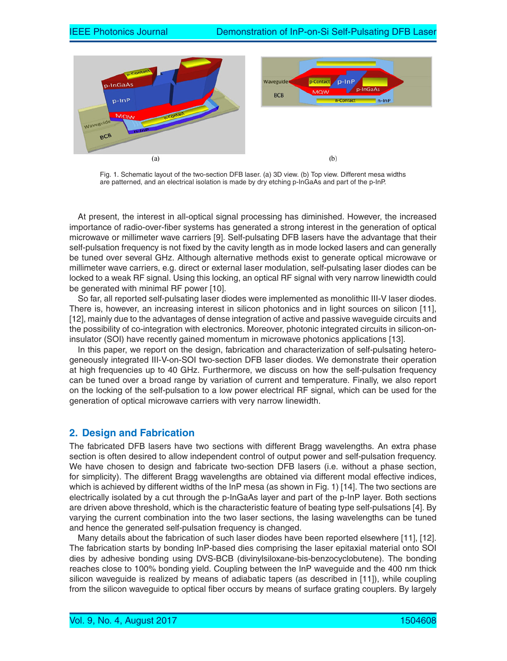

Fig. 1. Schematic layout of the two-section DFB laser. (a) 3D view. (b) Top view. Different mesa widths are patterned, and an electrical isolation is made by dry etching p-InGaAs and part of the p-InP.

At present, the interest in all-optical signal processing has diminished. However, the increased importance of radio-over-fiber systems has generated a strong interest in the generation of optical microwave or millimeter wave carriers [9]. Self-pulsating DFB lasers have the advantage that their self-pulsation frequency is not fixed by the cavity length as in mode locked lasers and can generally be tuned over several GHz. Although alternative methods exist to generate optical microwave or millimeter wave carriers, e.g. direct or external laser modulation, self-pulsating laser diodes can be locked to a weak RF signal. Using this locking, an optical RF signal with very narrow linewidth could be generated with minimal RF power [10].

So far, all reported self-pulsating laser diodes were implemented as monolithic III-V laser diodes. There is, however, an increasing interest in silicon photonics and in light sources on silicon [11], [12], mainly due to the advantages of dense integration of active and passive waveguide circuits and the possibility of co-integration with electronics. Moreover, photonic integrated circuits in silicon-oninsulator (SOI) have recently gained momentum in microwave photonics applications [13].

In this paper, we report on the design, fabrication and characterization of self-pulsating heterogeneously integrated III-V-on-SOI two-section DFB laser diodes. We demonstrate their operation at high frequencies up to 40 GHz. Furthermore, we discuss on how the self-pulsation frequency can be tuned over a broad range by variation of current and temperature. Finally, we also report on the locking of the self-pulsation to a low power electrical RF signal, which can be used for the generation of optical microwave carriers with very narrow linewidth.

#### **2. Design and Fabrication**

The fabricated DFB lasers have two sections with different Bragg wavelengths. An extra phase section is often desired to allow independent control of output power and self-pulsation frequency. We have chosen to design and fabricate two-section DFB lasers (i.e. without a phase section, for simplicity). The different Bragg wavelengths are obtained via different modal effective indices, which is achieved by different widths of the InP mesa (as shown in Fig. 1) [14]. The two sections are electrically isolated by a cut through the p-InGaAs layer and part of the p-InP layer. Both sections are driven above threshold, which is the characteristic feature of beating type self-pulsations [4]. By varying the current combination into the two laser sections, the lasing wavelengths can be tuned and hence the generated self-pulsation frequency is changed.

Many details about the fabrication of such laser diodes have been reported elsewhere [11], [12]. The fabrication starts by bonding InP-based dies comprising the laser epitaxial material onto SOI dies by adhesive bonding using DVS-BCB (divinylsiloxane-bis-benzocyclobutene). The bonding reaches close to 100% bonding yield. Coupling between the InP waveguide and the 400 nm thick silicon waveguide is realized by means of adiabatic tapers (as described in [11]), while coupling from the silicon waveguide to optical fiber occurs by means of surface grating couplers. By largely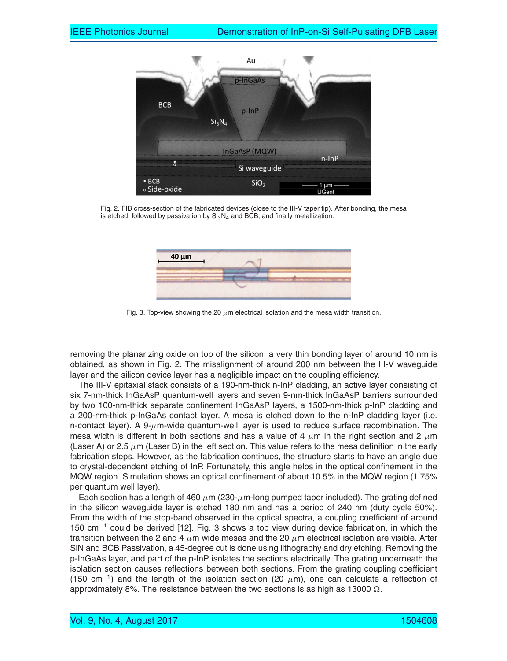

Fig. 2. FIB cross-section of the fabricated devices (close to the III-V taper tip). After bonding, the mesa is etched, followed by passivation by  $Si<sub>3</sub>N<sub>4</sub>$  and BCB, and finally metallization.



Fig. 3. Top-view showing the 20  $\mu$ m electrical isolation and the mesa width transition.

removing the planarizing oxide on top of the silicon, a very thin bonding layer of around 10 nm is obtained, as shown in Fig. 2. The misalignment of around 200 nm between the III-V waveguide layer and the silicon device layer has a negligible impact on the coupling efficiency.

The III-V epitaxial stack consists of a 190-nm-thick n-InP cladding, an active layer consisting of six 7-nm-thick InGaAsP quantum-well layers and seven 9-nm-thick InGaAsP barriers surrounded by two 100-nm-thick separate confinement InGaAsP layers, a 1500-nm-thick p-InP cladding and a 200-nm-thick p-InGaAs contact layer. A mesa is etched down to the n-InP cladding layer (i.e. n-contact layer). A  $9-\mu$ m-wide quantum-well layer is used to reduce surface recombination. The mesa width is different in both sections and has a value of 4  $\mu$ m in the right section and 2  $\mu$ m (Laser A) or 2.5  $\mu$ m (Laser B) in the left section. This value refers to the mesa definition in the early fabrication steps. However, as the fabrication continues, the structure starts to have an angle due to crystal-dependent etching of InP. Fortunately, this angle helps in the optical confinement in the MQW region. Simulation shows an optical confinement of about 10.5% in the MQW region (1.75% per quantum well layer).

Each section has a length of 460  $\mu$ m (230- $\mu$ m-long pumped taper included). The grating defined in the silicon waveguide layer is etched 180 nm and has a period of 240 nm (duty cycle 50%). From the width of the stop-band observed in the optical spectra, a coupling coefficient of around 150 cm−<sup>1</sup> could be derived [12]. Fig. 3 shows a top view during device fabrication, in which the transition between the 2 and 4  $\mu$ m wide mesas and the 20  $\mu$ m electrical isolation are visible. After SiN and BCB Passivation, a 45-degree cut is done using lithography and dry etching. Removing the p-InGaAs layer, and part of the p-InP isolates the sections electrically. The grating underneath the isolation section causes reflections between both sections. From the grating coupling coefficient (150 cm<sup>-1</sup>) and the length of the isolation section (20  $\mu$ m), one can calculate a reflection of approximately 8%. The resistance between the two sections is as high as 13000  $\Omega.$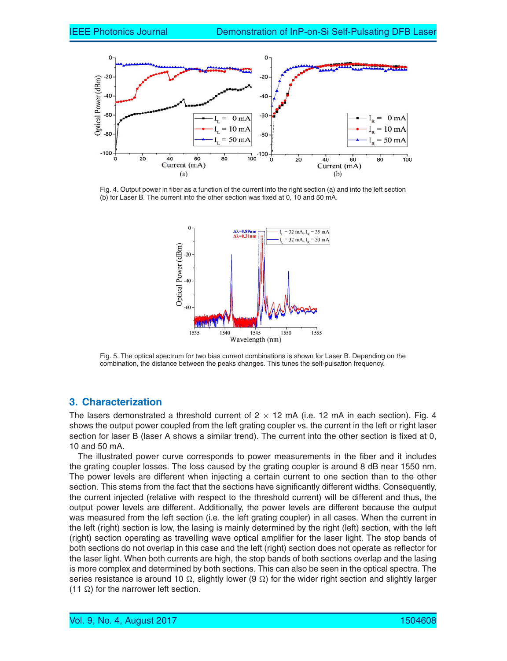

Fig. 4. Output power in fiber as a function of the current into the right section (a) and into the left section (b) for Laser B. The current into the other section was fixed at 0, 10 and 50 mA.



Fig. 5. The optical spectrum for two bias current combinations is shown for Laser B. Depending on the combination, the distance between the peaks changes. This tunes the self-pulsation frequency.

#### **3. Characterization**

The lasers demonstrated a threshold current of  $2 \times 12$  mA (i.e. 12 mA in each section). Fig. 4 shows the output power coupled from the left grating coupler vs. the current in the left or right laser section for laser B (laser A shows a similar trend). The current into the other section is fixed at 0, 10 and 50 mA.

The illustrated power curve corresponds to power measurements in the fiber and it includes the grating coupler losses. The loss caused by the grating coupler is around 8 dB near 1550 nm. The power levels are different when injecting a certain current to one section than to the other section. This stems from the fact that the sections have significantly different widths. Consequently, the current injected (relative with respect to the threshold current) will be different and thus, the output power levels are different. Additionally, the power levels are different because the output was measured from the left section (i.e. the left grating coupler) in all cases. When the current in the left (right) section is low, the lasing is mainly determined by the right (left) section, with the left (right) section operating as travelling wave optical amplifier for the laser light. The stop bands of both sections do not overlap in this case and the left (right) section does not operate as reflector for the laser light. When both currents are high, the stop bands of both sections overlap and the lasing is more complex and determined by both sections. This can also be seen in the optical spectra. The series resistance is around 10  $\Omega$ , slightly lower (9  $\Omega$ ) for the wider right section and slightly larger  $(11 \Omega)$  for the narrower left section.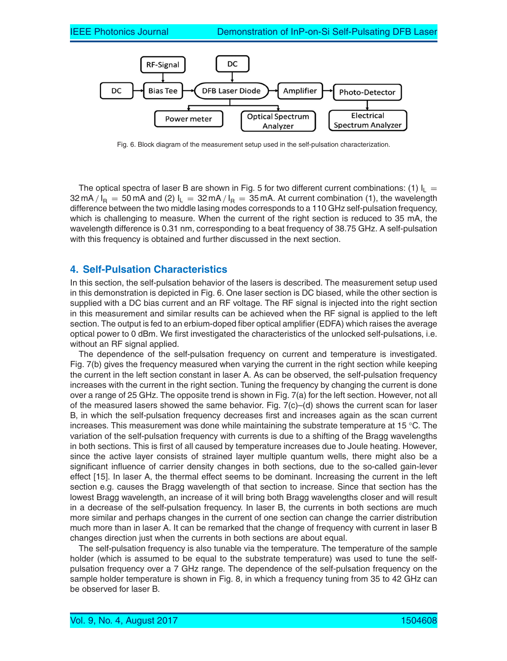

Fig. 6. Block diagram of the measurement setup used in the self-pulsation characterization.

The optical spectra of laser B are shown in Fig. 5 for two different current combinations: (1)  $I_L =$ 32 mA /  $I_B = 50$  mA and (2)  $I_L = 32$  mA /  $I_R = 35$  mA. At current combination (1), the wavelength difference between the two middle lasing modes corresponds to a 110 GHz self-pulsation frequency, which is challenging to measure. When the current of the right section is reduced to 35 mA, the wavelength difference is 0.31 nm, corresponding to a beat frequency of 38.75 GHz. A self-pulsation with this frequency is obtained and further discussed in the next section.

#### **4. Self-Pulsation Characteristics**

In this section, the self-pulsation behavior of the lasers is described. The measurement setup used in this demonstration is depicted in Fig. 6. One laser section is DC biased, while the other section is supplied with a DC bias current and an RF voltage. The RF signal is injected into the right section in this measurement and similar results can be achieved when the RF signal is applied to the left section. The output is fed to an erbium-doped fiber optical amplifier (EDFA) which raises the average optical power to 0 dBm. We first investigated the characteristics of the unlocked self-pulsations, i.e. without an RF signal applied.

The dependence of the self-pulsation frequency on current and temperature is investigated. Fig. 7(b) gives the frequency measured when varying the current in the right section while keeping the current in the left section constant in laser A. As can be observed, the self-pulsation frequency increases with the current in the right section. Tuning the frequency by changing the current is done over a range of 25 GHz. The opposite trend is shown in Fig. 7(a) for the left section. However, not all of the measured lasers showed the same behavior. Fig.  $7(c)$ –(d) shows the current scan for laser B, in which the self-pulsation frequency decreases first and increases again as the scan current increases. This measurement was done while maintaining the substrate temperature at 15 °C. The variation of the self-pulsation frequency with currents is due to a shifting of the Bragg wavelengths in both sections. This is first of all caused by temperature increases due to Joule heating. However, since the active layer consists of strained layer multiple quantum wells, there might also be a significant influence of carrier density changes in both sections, due to the so-called gain-lever effect [15]. In laser A, the thermal effect seems to be dominant. Increasing the current in the left section e.g. causes the Bragg wavelength of that section to increase. Since that section has the lowest Bragg wavelength, an increase of it will bring both Bragg wavelengths closer and will result in a decrease of the self-pulsation frequency. In laser B, the currents in both sections are much more similar and perhaps changes in the current of one section can change the carrier distribution much more than in laser A. It can be remarked that the change of frequency with current in laser B changes direction just when the currents in both sections are about equal.

The self-pulsation frequency is also tunable via the temperature. The temperature of the sample holder (which is assumed to be equal to the substrate temperature) was used to tune the selfpulsation frequency over a 7 GHz range. The dependence of the self-pulsation frequency on the sample holder temperature is shown in Fig. 8, in which a frequency tuning from 35 to 42 GHz can be observed for laser B.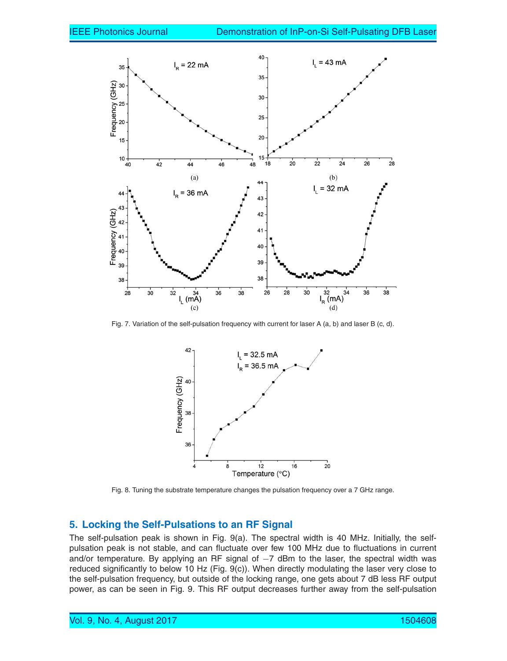

Fig. 7. Variation of the self-pulsation frequency with current for laser A (a, b) and laser B (c, d).



Fig. 8. Tuning the substrate temperature changes the pulsation frequency over a 7 GHz range.

#### **5. Locking the Self-Pulsations to an RF Signal**

The self-pulsation peak is shown in Fig. 9(a). The spectral width is 40 MHz. Initially, the selfpulsation peak is not stable, and can fluctuate over few 100 MHz due to fluctuations in current and/or temperature. By applying an RF signal of −7 dBm to the laser, the spectral width was reduced significantly to below 10 Hz (Fig. 9(c)). When directly modulating the laser very close to the self-pulsation frequency, but outside of the locking range, one gets about 7 dB less RF output power, as can be seen in Fig. 9. This RF output decreases further away from the self-pulsation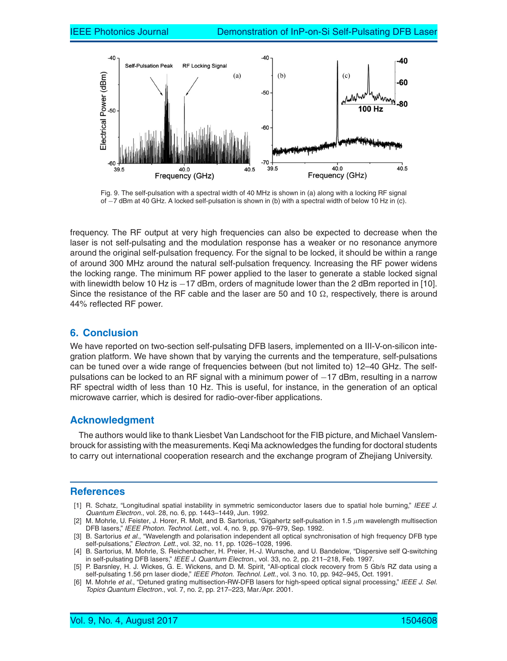

Fig. 9. The self-pulsation with a spectral width of 40 MHz is shown in (a) along with a locking RF signal of −7 dBm at 40 GHz. A locked self-pulsation is shown in (b) with a spectral width of below 10 Hz in (c).

frequency. The RF output at very high frequencies can also be expected to decrease when the laser is not self-pulsating and the modulation response has a weaker or no resonance anymore around the original self-pulsation frequency. For the signal to be locked, it should be within a range of around 300 MHz around the natural self-pulsation frequency. Increasing the RF power widens the locking range. The minimum RF power applied to the laser to generate a stable locked signal with linewidth below 10 Hz is −17 dBm, orders of magnitude lower than the 2 dBm reported in [10]. Since the resistance of the RF cable and the laser are 50 and 10  $\Omega$ , respectively, there is around 44% reflected RF power.

#### **6. Conclusion**

We have reported on two-section self-pulsating DFB lasers, implemented on a III-V-on-silicon integration platform. We have shown that by varying the currents and the temperature, self-pulsations can be tuned over a wide range of frequencies between (but not limited to) 12–40 GHz. The selfpulsations can be locked to an RF signal with a minimum power of −17 dBm, resulting in a narrow RF spectral width of less than 10 Hz. This is useful, for instance, in the generation of an optical microwave carrier, which is desired for radio-over-fiber applications.

#### **Acknowledgment**

The authors would like to thank Liesbet Van Landschoot for the FIB picture, and Michael Vanslembrouck for assisting with the measurements. Keqi Ma acknowledges the funding for doctoral students to carry out international cooperation research and the exchange program of Zhejiang University.

#### **References**

- [1] R. Schatz, "Longitudinal spatial instability in symmetric semiconductor lasers due to spatial hole burning," *IEEE J. Quantum Electron.*, vol. 28, no. 6, pp. 1443–1449, Jun. 1992.
- [2] M. Mohrle, U. Feister, J. Horer, R. Molt, and B. Sartorius, "Gigahertz self-pulsation in 1.5  $\mu$ m wavelength multisection DFB lasers," *IEEE Photon. Technol. Lett.*, vol. 4, no. 9, pp. 976–979, Sep. 1992.
- [3] B. Sartorius *et al.*, "Wavelength and polarisation independent all optical synchronisation of high frequency DFB type self-pulsations," *Electron. Lett.*, vol. 32, no. 11, pp. 1026–1028, 1996.
- [4] B. Sartorius, M. Mohrle, S. Reichenbacher, H. Preier, H.-J. Wunsche, and U. Bandelow, "Dispersive self Q-switching in self-pulsating DFB lasers," *IEEE J. Quantum Electron.*, vol. 33, no. 2, pp. 211–218, Feb. 1997.
- [5] P. Barsnley, H. J. Wickes, G. E. Wickens, and D. M. Spirit, "All-optical clock recovery from 5 Gb/s RZ data using a self-pulsating 1.56 prn laser diode," *IEEE Photon. Technol. Lett.*, vol. 3 no. 10, pp. 942–945, Oct. 1991.
- [6] M. Mohrle *et al.*, "Detuned grating multisection-RW-DFB lasers for high-speed optical signal processing," *IEEE J. Sel. Topics Quantum Electron.*, vol. 7, no. 2, pp. 217–223, Mar./Apr. 2001.